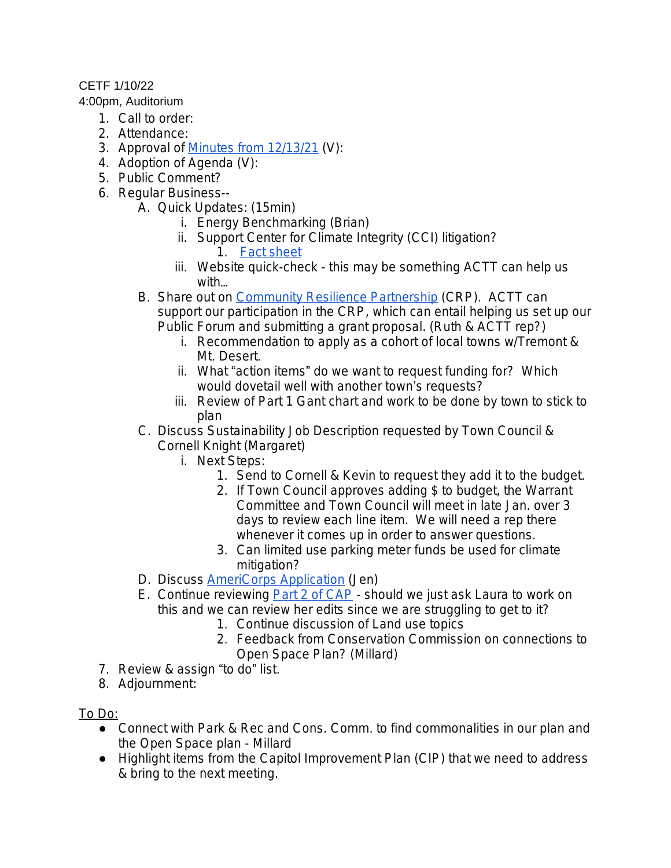## CETF 1/10/22

## 4:00pm, Auditorium

- 1. Call to order:
- 2. Attendance:
- 3. Approval of [Minutes from 12/13/21](https://docs.google.com/document/d/1Sh60KEG7skjLKyC3bKA4QRldLYkrF4I_Co-F_M2PoR4/edit) (V):
- 4. Adoption of Agenda (V):
- 5. Public Comment?
- 6. Regular Business--
	- A. Quick Updates: (15min)
		- i. Energy Benchmarking (Brian)
		- ii. Support Center for Climate Integrity (CCI) litigation? 1. [Fact sheet](https://payupclimatepolluters.org/litigation-faq)
		- iii. Website quick-check this may be something ACTT can help us with…
	- B. Share out on [Community Resilience Partnership](https://www.maine.gov/future/climate/community-resilience-partnership) (CRP). ACTT can support our participation in the CRP, which can entail helping us set up our Public Forum and submitting a grant proposal. (Ruth & ACTT rep?)
		- i. Recommendation to apply as a cohort of local towns w/Tremont & Mt. Desert.
		- ii. What "action items" do we want to request funding for? Which would dovetail well with another town's requests?
		- iii. Review of Part 1 Gant chart and work to be done by town to stick to plan
	- C. Discuss Sustainability Job Description requested by Town Council & Cornell Knight (Margaret)
		- i. Next Steps:
			- 1. Send to Cornell & Kevin to request they add it to the budget.
			- 2. If Town Council approves adding \$ to budget, the Warrant Committee and Town Council will meet in late Jan. over 3 days to review each line item. We will need a rep there whenever it comes up in order to answer questions.
			- 3. Can limited use parking meter funds be used for climate mitigation?
	- D. Discuss [AmeriCorps Application](https://drive.google.com/file/d/1CsQlgx2Ck4QeDaHjBf_l6sGvhGNbvpNe/view?usp=sharing) (Jen)
	- E. Continue reviewing **Part 2 of CAP** should we just ask Laura to work on this and we can review her edits since we are struggling to get to it?
		- 1. Continue discussion of Land use topics
		- 2. Feedback from Conservation Commission on connections to Open Space Plan? (Millard)
- 7. Review & assign "to do" list.
- 8. Adjournment:

To Do:

- Connect with Park & Rec and Cons. Comm. to find commonalities in our plan and the Open Space plan - Millard
- Highlight items from the Capitol Improvement Plan (CIP) that we need to address & bring to the next meeting.